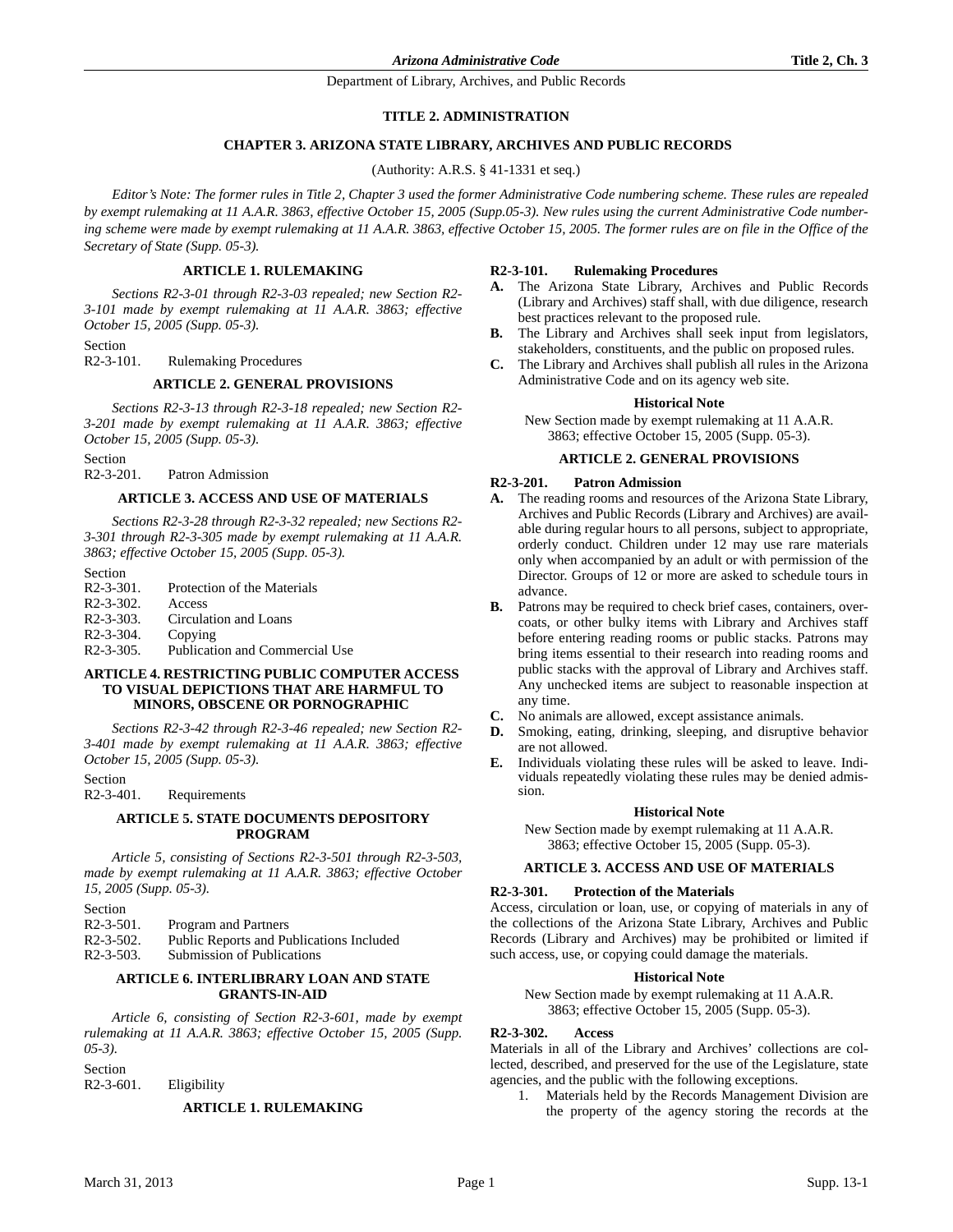Department of Library, Archives, and Public Records

## **TITLE 2. ADMINISTRATION**

## **CHAPTER 3. ARIZONA STATE LIBRARY, ARCHIVES AND PUBLIC RECORDS**

(Authority: A.R.S. § 41-1331 et seq.)

*Editor's Note: The former rules in Title 2, Chapter 3 used the former Administrative Code numbering scheme. These rules are repealed by exempt rulemaking at 11 A.A.R. 3863, effective October 15, 2005 (Supp.05-3). New rules using the current Administrative Code numbering scheme were made by exempt rulemaking at 11 A.A.R. 3863, effective October 15, 2005. The former rules are on file in the Office of the Secretary of State (Supp. 05-3).*

## **ARTICLE 1. RULEMAKING**

*Sections R2-3-01 through R2-3-03 repealed; new Section R2- 3-101 made by exempt rulemaking at 11 A.A.R. 3863; effective October 15, 2005 (Supp. 05-3).*

Section

R2-3-101. Rulemaking Procedures

### **ARTICLE 2. GENERAL PROVISIONS**

*Sections R2-3-13 through R2-3-18 repealed; new Section R2- 3-201 made by exempt rulemaking at 11 A.A.R. 3863; effective October 15, 2005 (Supp. 05-3).*

Section

R2-3-201. Patron Admission

## **ARTICLE 3. ACCESS AND USE OF MATERIALS**

*Sections R2-3-28 through R2-3-32 repealed; new Sections R2- 3-301 through R2-3-305 made by exempt rulemaking at 11 A.A.R. 3863; effective October 15, 2005 (Supp. 05-3).*

Section

| $R2 - 3 - 301$ . | Protection of the Materials    |
|------------------|--------------------------------|
| $R2 - 3 - 302$ . | Access                         |
| $R2 - 3 - 303$ . | Circulation and Loans          |
| $R2 - 3 - 304$ . | Copying                        |
| $R2 - 3 - 305$ . | Publication and Commercial Use |

### **ARTICLE 4. RESTRICTING PUBLIC COMPUTER ACCESS TO VISUAL DEPICTIONS THAT ARE HARMFUL TO MINORS, OBSCENE OR PORNOGRAPHIC**

*Sections R2-3-42 through R2-3-46 repealed; new Section R2- 3-401 made by exempt rulemaking at 11 A.A.R. 3863; effective October 15, 2005 (Supp. 05-3).*

Section

R2-3-401. Requirements

## **ARTICLE 5. STATE DOCUMENTS DEPOSITORY PROGRAM**

*Article 5, consisting of Sections R2-3-501 through R2-3-503, made by exempt rulemaking at 11 A.A.R. 3863; effective October 15, 2005 (Supp. 05-3).*

Section<br>R2-3-501.

Program and Partners

R2-3-502. Public Reports and Publications Included

R2-3-503. Submission of Publications

## **ARTICLE 6. INTERLIBRARY LOAN AND STATE GRANTS-IN-AID**

*Article 6, consisting of Section R2-3-601, made by exempt rulemaking at 11 A.A.R. 3863; effective October 15, 2005 (Supp. 05-3).*

Section

R2-3-601. Eligibility

## **ARTICLE 1. RULEMAKING**

### **R2-3-101. Rulemaking Procedures**

- **A.** The Arizona State Library, Archives and Public Records (Library and Archives) staff shall, with due diligence, research best practices relevant to the proposed rule.
- **B.** The Library and Archives shall seek input from legislators, stakeholders, constituents, and the public on proposed rules.
- **C.** The Library and Archives shall publish all rules in the Arizona Administrative Code and on its agency web site.

### **Historical Note**

New Section made by exempt rulemaking at 11 A.A.R. 3863; effective October 15, 2005 (Supp. 05-3).

## **ARTICLE 2. GENERAL PROVISIONS**

# **R2-3-201. Patron Admission**

- **A.** The reading rooms and resources of the Arizona State Library, Archives and Public Records (Library and Archives) are available during regular hours to all persons, subject to appropriate, orderly conduct. Children under 12 may use rare materials only when accompanied by an adult or with permission of the Director. Groups of 12 or more are asked to schedule tours in advance.
- **B.** Patrons may be required to check brief cases, containers, overcoats, or other bulky items with Library and Archives staff before entering reading rooms or public stacks. Patrons may bring items essential to their research into reading rooms and public stacks with the approval of Library and Archives staff. Any unchecked items are subject to reasonable inspection at any time.
- **C.** No animals are allowed, except assistance animals.
- **D.** Smoking, eating, drinking, sleeping, and disruptive behavior are not allowed.
- **E.** Individuals violating these rules will be asked to leave. Individuals repeatedly violating these rules may be denied admission.

### **Historical Note**

New Section made by exempt rulemaking at 11 A.A.R. 3863; effective October 15, 2005 (Supp. 05-3).

## **ARTICLE 3. ACCESS AND USE OF MATERIALS**

### **R2-3-301. Protection of the Materials**

Access, circulation or loan, use, or copying of materials in any of the collections of the Arizona State Library, Archives and Public Records (Library and Archives) may be prohibited or limited if such access, use, or copying could damage the materials.

### **Historical Note**

New Section made by exempt rulemaking at 11 A.A.R. 3863; effective October 15, 2005 (Supp. 05-3).

### **R2-3-302. Access**

Materials in all of the Library and Archives' collections are collected, described, and preserved for the use of the Legislature, state agencies, and the public with the following exceptions.

1. Materials held by the Records Management Division are the property of the agency storing the records at the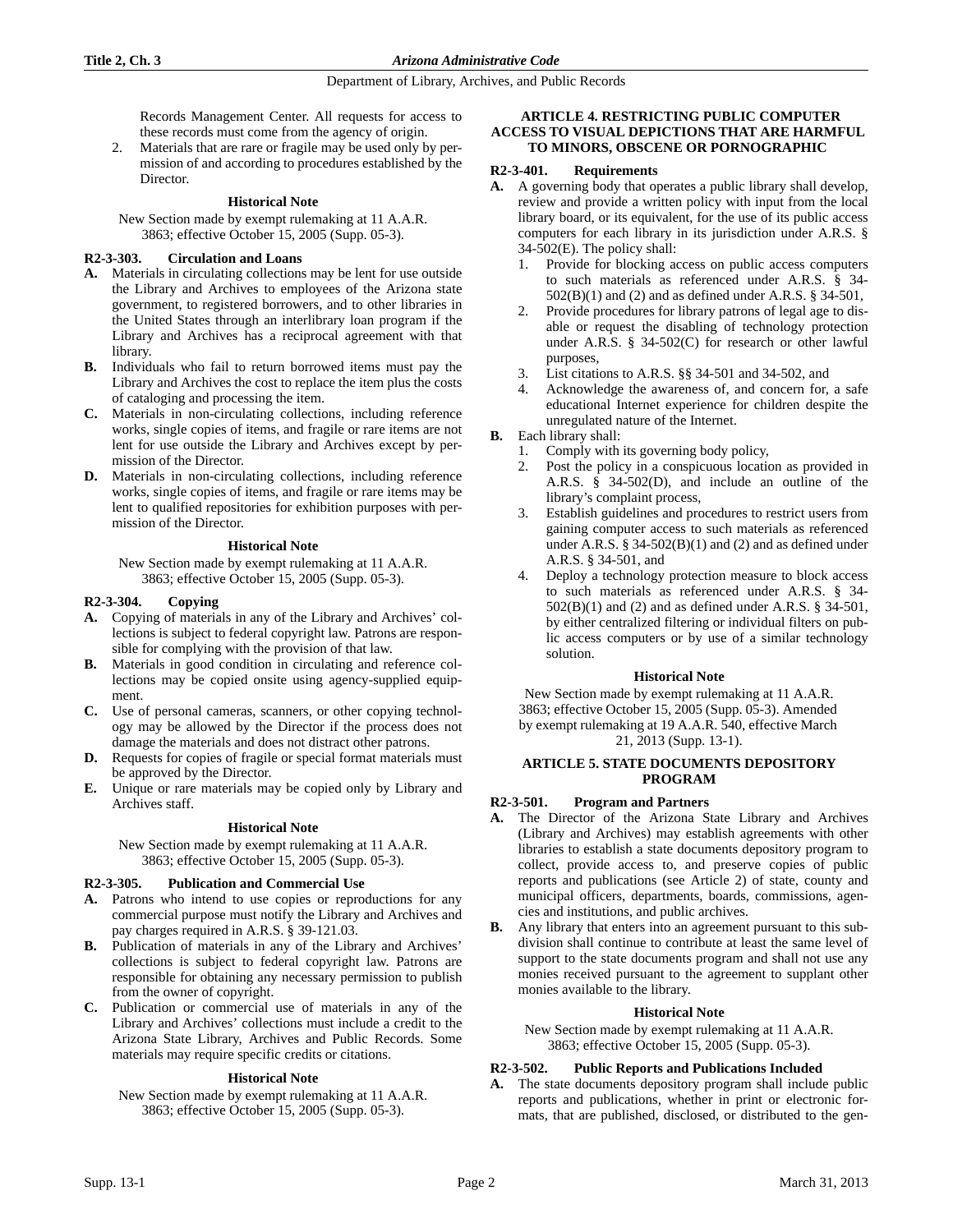Department of Library, Archives, and Public Records

Records Management Center. All requests for access to these records must come from the agency of origin.

2. Materials that are rare or fragile may be used only by permission of and according to procedures established by the Director.

## **Historical Note**

New Section made by exempt rulemaking at 11 A.A.R. 3863; effective October 15, 2005 (Supp. 05-3).

## **R2-3-303. Circulation and Loans**

- **A.** Materials in circulating collections may be lent for use outside the Library and Archives to employees of the Arizona state government, to registered borrowers, and to other libraries in the United States through an interlibrary loan program if the Library and Archives has a reciprocal agreement with that library.
- **B.** Individuals who fail to return borrowed items must pay the Library and Archives the cost to replace the item plus the costs of cataloging and processing the item.
- **C.** Materials in non-circulating collections, including reference works, single copies of items, and fragile or rare items are not lent for use outside the Library and Archives except by permission of the Director.
- **D.** Materials in non-circulating collections, including reference works, single copies of items, and fragile or rare items may be lent to qualified repositories for exhibition purposes with permission of the Director.

## **Historical Note**

New Section made by exempt rulemaking at 11 A.A.R. 3863; effective October 15, 2005 (Supp. 05-3).

## **R2-3-304. Copying**

- **A.** Copying of materials in any of the Library and Archives' collections is subject to federal copyright law. Patrons are responsible for complying with the provision of that law.
- **B.** Materials in good condition in circulating and reference collections may be copied onsite using agency-supplied equipment.
- **C.** Use of personal cameras, scanners, or other copying technology may be allowed by the Director if the process does not damage the materials and does not distract other patrons.
- **D.** Requests for copies of fragile or special format materials must be approved by the Director.
- **E.** Unique or rare materials may be copied only by Library and Archives staff.

# **Historical Note**

New Section made by exempt rulemaking at 11 A.A.R. 3863; effective October 15, 2005 (Supp. 05-3).

## **R2-3-305. Publication and Commercial Use**

- **A.** Patrons who intend to use copies or reproductions for any commercial purpose must notify the Library and Archives and pay charges required in A.R.S. § 39-121.03.
- **B.** Publication of materials in any of the Library and Archives' collections is subject to federal copyright law. Patrons are responsible for obtaining any necessary permission to publish from the owner of copyright.
- **C.** Publication or commercial use of materials in any of the Library and Archives' collections must include a credit to the Arizona State Library, Archives and Public Records. Some materials may require specific credits or citations.

## **Historical Note**

New Section made by exempt rulemaking at 11 A.A.R. 3863; effective October 15, 2005 (Supp. 05-3).

## **ARTICLE 4. RESTRICTING PUBLIC COMPUTER ACCESS TO VISUAL DEPICTIONS THAT ARE HARMFUL TO MINORS, OBSCENE OR PORNOGRAPHIC**

## **R2-3-401. Requirements**

- **A.** A governing body that operates a public library shall develop, review and provide a written policy with input from the local library board, or its equivalent, for the use of its public access computers for each library in its jurisdiction under A.R.S. § 34-502(E). The policy shall:
	- 1. Provide for blocking access on public access computers to such materials as referenced under A.R.S. § 34- 502(B)(1) and (2) and as defined under A.R.S. § 34-501,
	- Provide procedures for library patrons of legal age to disable or request the disabling of technology protection under A.R.S. § 34-502(C) for research or other lawful purposes,
	- 3. List citations to A.R.S. §§ 34-501 and 34-502, and
	- 4. Acknowledge the awareness of, and concern for, a safe educational Internet experience for children despite the unregulated nature of the Internet.
- **B.** Each library shall:
	- 1. Comply with its governing body policy,
	- 2. Post the policy in a conspicuous location as provided in A.R.S. § 34-502(D), and include an outline of the library's complaint process,
	- Establish guidelines and procedures to restrict users from gaining computer access to such materials as referenced under A.R.S.  $\S$  34-502(B)(1) and (2) and as defined under A.R.S. § 34-501, and
	- 4. Deploy a technology protection measure to block access to such materials as referenced under A.R.S. § 34- 502(B)(1) and (2) and as defined under A.R.S. § 34-501, by either centralized filtering or individual filters on public access computers or by use of a similar technology solution.

## **Historical Note**

New Section made by exempt rulemaking at 11 A.A.R. 3863; effective October 15, 2005 (Supp. 05-3). Amended by exempt rulemaking at 19 A.A.R. 540, effective March 21, 2013 (Supp. 13-1).

## **ARTICLE 5. STATE DOCUMENTS DEPOSITORY PROGRAM**

# **R2-3-501. Program and Partners**

- **A.** The Director of the Arizona State Library and Archives (Library and Archives) may establish agreements with other libraries to establish a state documents depository program to collect, provide access to, and preserve copies of public reports and publications (see Article 2) of state, county and municipal officers, departments, boards, commissions, agencies and institutions, and public archives.
- **B.** Any library that enters into an agreement pursuant to this subdivision shall continue to contribute at least the same level of support to the state documents program and shall not use any monies received pursuant to the agreement to supplant other monies available to the library.

## **Historical Note**

New Section made by exempt rulemaking at 11 A.A.R. 3863; effective October 15, 2005 (Supp. 05-3).

# **R2-3-502. Public Reports and Publications Included**

**A.** The state documents depository program shall include public reports and publications, whether in print or electronic formats, that are published, disclosed, or distributed to the gen